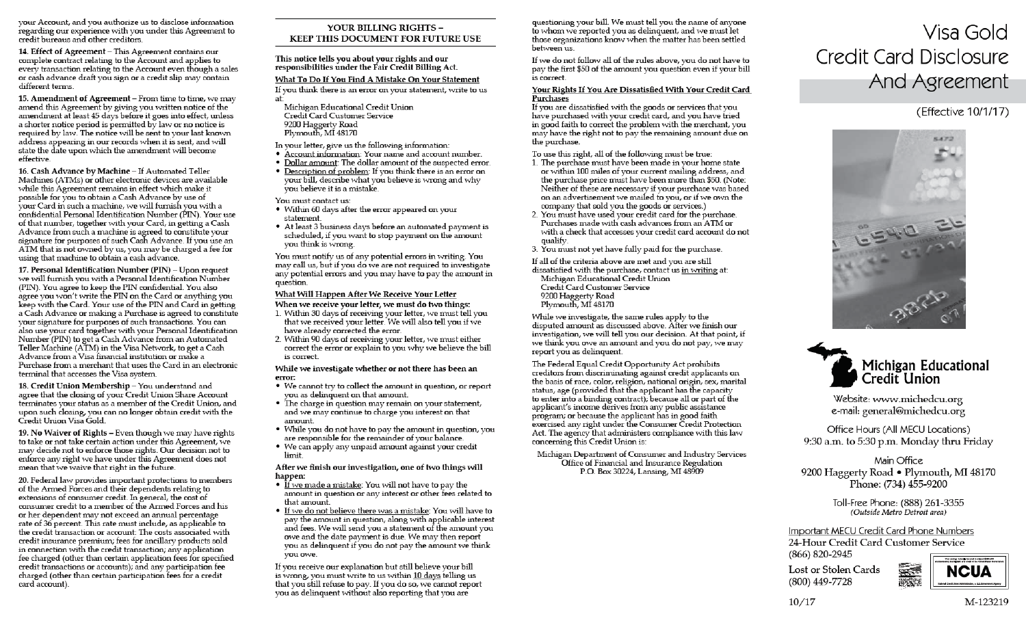your Account, and you authorize us to disclose information regarding our experience with you under this Agreement to credit bureaus and other creditors.

14. Effect of Agreement - This Agreement contains our complete contract relating to the Account and applies to every transaction relating to the Account even though a sales or cash advance draft you sign or a credit slip may contain different terms.

15. Amendment of Agreement - From time to time, we may amend this Agreement by giving you written notice of the amendment at least 45 days before it goes into effect, unless a shorter notice period is permitted by law or no notice is required by law. The notice will be sent to your last known address appearing in our records when it is sent, and will state the date upon which the amendment will become effective.

16. Cash Advance by Machine - If Automated Teller Machines (ATMs) or other electronic devices are available while this Agreement remains in effect which make it possible for you to obtain a Cash Advance by use of your Card in such a machine, we will furnish you with a confidential Personal Identification Number (PIN). Your use of that number, together with your Card, in getting a Cash Advance from such a machine is agreed to constitute your signature for purposes of such Cash Advance. If you use an ATM that is not owned by us, you may be charged a fee for using that machine to obtain a cash advance.

17. Personal Identification Number (PIN) - Upon request we will furnish you with a Personal Identification Number (PIN). You agree to keep the PIN confidential. You also agree you won't write the PIN on the Card or anything you keep with the Card. Your use of the PIN and Card in getting a Cash Advance or making a Purchase is agreed to constitute your signature for purposes of such transactions. You can also use your card together with your Personal Identification Number (PIN) to get a Cash Advance from an Automated Teller Machine (ATM) in the Visa Network, to get a Cash Advance from a Visa financial institution or make a Purchase from a merchant that uses the Card in an electronic terminal that accesses the Visa system.

18. Credit Union Membership - You understand and agree that the closing of your Credit Union Share Account terminates your status as a member of the Credit Union, and upon such closing, you can no longer obtain credit with the Credit Union Visa Gold.

19. No Waiver of Rights - Even though we may have rights to take or not take certain action under this Agreement, we may decide not to enforce those rights. Our decision not to enforce any right we have under this Agreement does not mean that we waive that right in the future.

20. Federal law provides important protections to members of the Armed Forces and their dependents relating to extensions of consumer credit. In general, the cost of consumer credit to a member of the Armed Forces and his or her dependent may not exceed an annual percentage rate of 36 percent. This rate must include, as applicable to the credit transaction or account: The costs associated with credit insurance premium; fees for ancillary products sold in connection with the credit transaction; any application fee charged (other than certain application fees for specified credit transactions or accounts); and any participation fee charged (other than certain participation fees for a credit card account).

### YOUR BILLING RIGHTS -**KEEP THIS DOCUMENT FOR FUTURE USE**

This notice tells vou about vour rights and our responsibilities under the Fair Credit Billing Act.

### What To Do If You Find A Mistake On Your Statement

If you think there is an error on your statement, write to us ati

- Michigan Educational Credit Union Credit Card Customer Service 9200 Haggerty Road Plymouth, MI 48170
- In your letter, give us the following information:
- Account information: Your name and account number.
- . Dollar amount: The dollar amount of the suspected error.
- Description of problem: If you think there is an error on your bill, describe what you believe is wrong and why vou believe it is a mistake.

### You must contact us:

- Within 60 days after the error appeared on your statement.
- At least 3 business days before an automated payment is scheduled, if you want to stop payment on the amount vou think is wrong.

You must notify us of any potential errors in writing. You may call us, but if you do we are not required to investigate any potential errors and you may have to pay the amount in question.

### What Will Happen After We Receive Your Letter

When we receive your letter, we must do two things:

- 1. Within 30 days of receiving your letter, we must tell you that we received your letter. We will also tell you if we have already corrected the error.
- 2. Within 90 days of receiving your letter, we must either correct the error or explain to you why we believe the bill is correct.

#### While we investigate whether or not there has been an error:

- We cannot try to collect the amount in question, or report you as delinquent on that amount.
- The charge in question may remain on your statement, and we may continue to charge you interest on that amount.
- While you do not have to pay the amount in question, you are responsible for the remainder of your balance.
- We can apply any unpaid amount against your credit limit.

After we finish our investigation, one of two things will happen:

- If we made a mistake: You will not have to pay the amount in question or any interest or other fees related to that amount.
- . If we do not believe there was a mistake: You will have to pay the amount in question, along with applicable interest and fees. We will send you a statement of the amount you owe and the date payment is due. We may then report you as delinquent if you do not pay the amount we think vou owe.

If you receive our explanation but still believe your bill is wrong, you must write to us within 10 days telling us that you still refuse to pay. If you do so, we cannot report you as delinquent without also reporting that you are

questioning your bill. We must tell you the name of anyone to whom we reported you as delinguent, and we must let those organizations know when the matter has been settled hetween us

If we do not follow all of the rules above, you do not have to pay the first \$50 of the amount you question even if your bill is correct.

### Your Rights If You Are Dissatisfied With Your Credit Card Purchases

If you are dissatisfied with the goods or services that you have purchased with your credit card, and you have tried in good faith to correct the problem with the merchant, you may have the right not to pay the remaining amount due on the purchase.

To use this right, all of the following must be true:

- 1. The purchase must have been made in your home state or within 100 miles of your current mailing address, and the purchase price must have been more than \$50. (Note: Neither of these are necessary if your purchase was based on an advertisement we mailed to you, or if we own the company that sold you the goods or services.)
- 2. You must have used your credit card for the purchase. Purchases made with cash advances from an ATM or with a check that accesses your credit card account do not qualify.
- 3. You must not yet have fully paid for the purchase.

If all of the criteria above are met and you are still

dissatisfied with the purchase, contact us in writing at: Michigan Educational Credit Union Credit Card Customer Service 9200 Haggerty Road Plymouth, MI 48170

While we investigate, the same rules apply to the disputed amount as discussed above. After we finish our investigation, we will tell you our decision. At that point, if we think you owe an amount and you do not pay, we may report you as delinquent.

The Federal Equal Credit Opportunity Act prohibits creditors from discriminating against credit applicants on the basis of race, color, religion, national origin, sex, marital status, age (provided that the applicant has the capacity to enter into a binding contract); because all or part of the applicant's income derives from any public assistance program; or because the applicant has in good faith exercised any right under the Consumer Credit Protection Act. The agency that administers compliance with this law concerning this Credit Union is:

Michigan Department of Consumer and Industry Services Office of Financial and Insurance Regulation P.O. Box 30224, Lansing, MI 48909

# Visa Gold **Credit Card Disclosure** And Agreement

# (Effective 10/1/17)





Website: www.michedcu.org e-mail: general@michedcu.org

Office Hours (All MECU Locations) 9:30 a.m. to 5:30 p.m. Monday thru Friday

## Main Office 9200 Haggerty Road • Plymouth, MI 48170 Phone: (734) 455-9200

Toll-Free Phone: (888) 261-3355 (Outside Metro Detroit area)

Important MECU Credit Card Phone Numbers 24-Hour Credit Card Customer Service (866) 820-2945

Lost or Stolen Cards (800) 449-7728



 $10/17$ 

M-123219